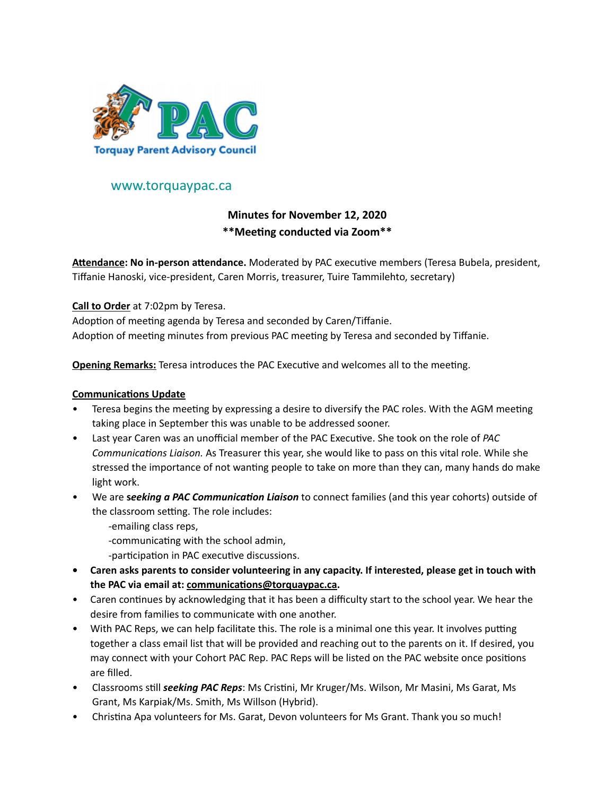

## www.torquaypac.ca

# **Minutes for November 12, 2020 \*\*Meeting conducted via Zoom\*\***

**Attendance: No in-person attendance.** Moderated by PAC executive members (Teresa Bubela, president, Tiffanie Hanoski, vice-president, Caren Morris, treasurer, Tuire Tammilehto, secretary)

### **Call to Order** at 7:02pm by Teresa.

Adoption of meeting agenda by Teresa and seconded by Caren/Tiffanie. Adoption of meeting minutes from previous PAC meeting by Teresa and seconded by Tiffanie.

**Opening Remarks:** Teresa introduces the PAC Executive and welcomes all to the meeting.

#### **Communications Update**

- Teresa begins the meeting by expressing a desire to diversify the PAC roles. With the AGM meeting taking place in September this was unable to be addressed sooner.
- Last year Caren was an unofficial member of the PAC Executive. She took on the role of *PAC Communications Liaison.* As Treasurer this year, she would like to pass on this vital role. While she stressed the importance of not wanting people to take on more than they can, many hands do make light work.
- We are **s***eeking a PAC Communication Liaison* to connect families (and this year cohorts) outside of the classroom setting. The role includes:
	- -emailing class reps,
	- -communicating with the school admin,
	- -participation in PAC executive discussions.
- **• Caren asks parents to consider volunteering in any capacity. If interested, please get in touch with the PAC via email at: [communications@torquaypac.ca.](mailto:communications@torquaypac.ca)**
- Caren continues by acknowledging that it has been a difficulty start to the school year. We hear the desire from families to communicate with one another.
- With PAC Reps, we can help facilitate this. The role is a minimal one this year. It involves putting together a class email list that will be provided and reaching out to the parents on it. If desired, you may connect with your Cohort PAC Rep. PAC Reps will be listed on the PAC website once positions are filled.
- Classrooms still *seeking PAC Reps*: Ms Cristini, Mr Kruger/Ms. Wilson, Mr Masini, Ms Garat, Ms Grant, Ms Karpiak/Ms. Smith, Ms Willson (Hybrid).
- Christina Apa volunteers for Ms. Garat, Devon volunteers for Ms Grant. Thank you so much!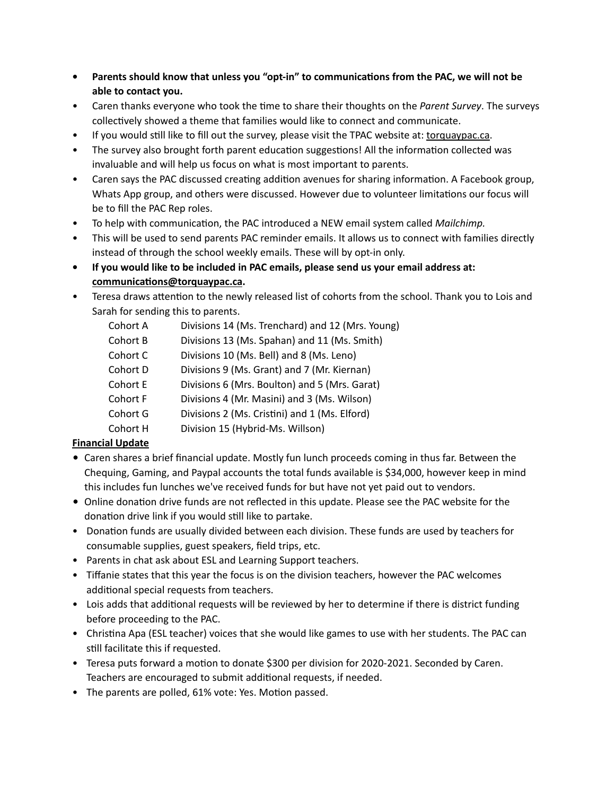- **• Parents should know that unless you "opt-in" to communications from the PAC, we will not be able to contact you.**
- Caren thanks everyone who took the time to share their thoughts on the *Parent Survey*. The surveys collectively showed a theme that families would like to connect and communicate.
- If you would still like to fill out the survey, please visit the TPAC website at: [torquaypac.ca.](http://torquaypac.ca)
- The survey also brought forth parent education suggestions! All the information collected was invaluable and will help us focus on what is most important to parents.
- Caren says the PAC discussed creating addition avenues for sharing information. A Facebook group, Whats App group, and others were discussed. However due to volunteer limitations our focus will be to fill the PAC Rep roles.
- To help with communication, the PAC introduced a NEW email system called *Mailchimp.*
- This will be used to send parents PAC reminder emails. It allows us to connect with families directly instead of through the school weekly emails. These will by opt-in only.
- **• If you would like to be included in PAC emails, please send us your email address at: [communications@torquaypac.ca.](mailto:communications@torquaypac.ca)**
- Teresa draws attention to the newly released list of cohorts from the school. Thank you to Lois and Sarah for sending this to parents.
	- Cohort A Divisions 14 (Ms. Trenchard) and 12 (Mrs. Young)
	- Cohort B Divisions 13 (Ms. Spahan) and 11 (Ms. Smith)
	- Cohort C Divisions 10 (Ms. Bell) and 8 (Ms. Leno)
	- Cohort D Divisions 9 (Ms. Grant) and 7 (Mr. Kiernan)
	- Cohort E Divisions 6 (Mrs. Boulton) and 5 (Mrs. Garat)
	- Cohort F Divisions 4 (Mr. Masini) and 3 (Ms. Wilson)
	- Cohort G Divisions 2 (Ms. Cristini) and 1 (Ms. Elford)
	- Cohort H Division 15 (Hybrid-Ms. Willson)

## **Financial Update**

- Caren shares a brief financial update. Mostly fun lunch proceeds coming in thus far. Between the Chequing, Gaming, and Paypal accounts the total funds available is \$34,000, however keep in mind this includes fun lunches we've received funds for but have not yet paid out to vendors.
- Online donation drive funds are not reflected in this update. Please see the PAC website for the donation drive link if you would still like to partake.
- Donation funds are usually divided between each division. These funds are used by teachers for consumable supplies, guest speakers, field trips, etc.
- Parents in chat ask about ESL and Learning Support teachers.
- Tiffanie states that this year the focus is on the division teachers, however the PAC welcomes additional special requests from teachers.
- Lois adds that additional requests will be reviewed by her to determine if there is district funding before proceeding to the PAC.
- Christina Apa (ESL teacher) voices that she would like games to use with her students. The PAC can still facilitate this if requested.
- Teresa puts forward a motion to donate \$300 per division for 2020-2021. Seconded by Caren. Teachers are encouraged to submit additional requests, if needed.
- The parents are polled, 61% vote: Yes. Motion passed.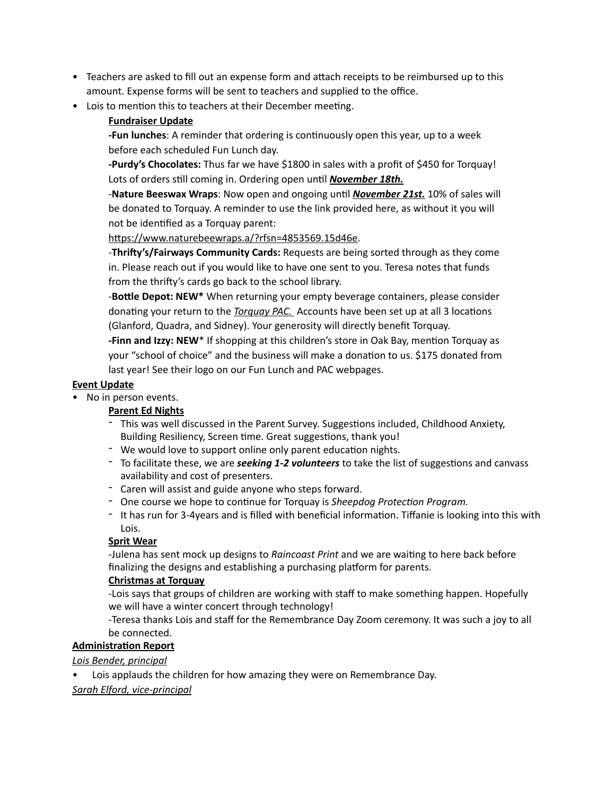- Teachers are asked to fill out an expense form and attach receipts to be reimbursed up to this amount. Expense forms will be sent to teachers and supplied to the office.
- Lois to mention this to teachers at their December meeting.

## **Fundraiser Update**

**-Fun lunches**: A reminder that ordering is continuously open this year, up to a week before each scheduled Fun Lunch day.

**-Purdy's Chocolates:** Thus far we have \$1800 in sales with a profit of \$450 for Torquay! Lots of orders still coming in. Ordering open until *November 18th.*

-**Nature Beeswax Wraps**: Now open and ongoing until *November 21st.* 10% of sales will be donated to Torquay. A reminder to use the link provided here, as without it you will not be identified as a Torquay parent:

<https://www.naturebeewraps.a/?rfsn=4853569.15d46e>.

-**Thrifty's/Fairways Community Cards:** Requests are being sorted through as they come in. Please reach out if you would like to have one sent to you. Teresa notes that funds from the thrifty's cards go back to the school library.

-**Bottle Depot: NEW\*** When returning your empty beverage containers, please consider donating your return to the *Torquay PAC.* Accounts have been set up at all 3 locations (Glanford, Quadra, and Sidney). Your generosity will directly benefit Torquay.

**-Finn and Izzy: NEW**\* If shopping at this children's store in Oak Bay, mention Torquay as your "school of choice" and the business will make a donation to us. \$175 donated from last year! See their logo on our Fun Lunch and PAC webpages.

#### **Event Update**

• No in person events.

#### **Parent Ed Nights**

- This was well discussed in the Parent Survey. Suggestions included, Childhood Anxiety, Building Resiliency, Screen time. Great suggestions, thank you!
- We would love to support online only parent education nights.
- To facilitate these, we are *seeking 1-2 volunteers* to take the list of suggestions and canvass availability and cost of presenters.
- Caren will assist and guide anyone who steps forward.
- One course we hope to continue for Torquay is *Sheepdog Protection Program.*
- It has run for 3-4years and is filled with beneficial information. Tiffanie is looking into this with Lois.

## **Sprit Wear**

-Julena has sent mock up designs to *Raincoast Print* and we are waiting to here back before finalizing the designs and establishing a purchasing platform for parents.

#### **Christmas at Torquay**

-Lois says that groups of children are working with staff to make something happen. Hopefully we will have a winter concert through technology!

-Teresa thanks Lois and staff for the Remembrance Day Zoom ceremony. It was such a joy to all be connected.

#### **Administration Report**

#### *Lois Bender, principal*

Lois applauds the children for how amazing they were on Remembrance Day.

#### *Sarah Elford, vice-principal*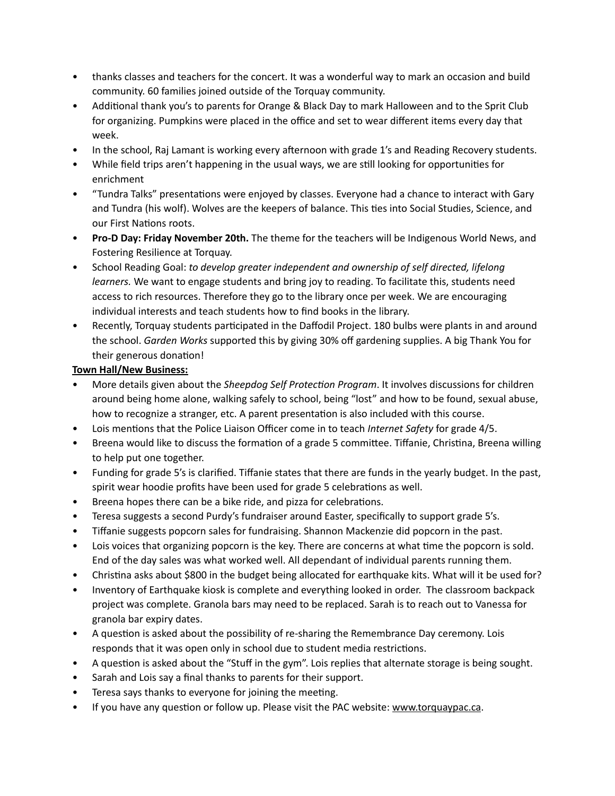- thanks classes and teachers for the concert. It was a wonderful way to mark an occasion and build community. 60 families joined outside of the Torquay community.
- Additional thank you's to parents for Orange & Black Day to mark Halloween and to the Sprit Club for organizing. Pumpkins were placed in the office and set to wear different items every day that week.
- In the school, Raj Lamant is working every afternoon with grade 1's and Reading Recovery students.
- While field trips aren't happening in the usual ways, we are still looking for opportunities for enrichment
- "Tundra Talks" presentations were enjoyed by classes. Everyone had a chance to interact with Gary and Tundra (his wolf). Wolves are the keepers of balance. This ties into Social Studies, Science, and our First Nations roots.
- **Pro-D Day: Friday November 20th.** The theme for the teachers will be Indigenous World News, and Fostering Resilience at Torquay.
- School Reading Goal: *to develop greater independent and ownership of self directed, lifelong learners.* We want to engage students and bring joy to reading. To facilitate this, students need access to rich resources. Therefore they go to the library once per week. We are encouraging individual interests and teach students how to find books in the library.
- Recently, Torquay students participated in the Daffodil Project. 180 bulbs were plants in and around the school. *Garden Works* supported this by giving 30% off gardening supplies. A big Thank You for their generous donation!

## **Town Hall/New Business:**

- More details given about the *Sheepdog Self Protection Program*. It involves discussions for children around being home alone, walking safely to school, being "lost" and how to be found, sexual abuse, how to recognize a stranger, etc. A parent presentation is also included with this course.
- Lois mentions that the Police Liaison Officer come in to teach *Internet Safety* for grade 4/5.
- Breena would like to discuss the formation of a grade 5 committee. Tiffanie, Christina, Breena willing to help put one together.
- Funding for grade 5's is clarified. Tiffanie states that there are funds in the yearly budget. In the past, spirit wear hoodie profits have been used for grade 5 celebrations as well.
- Breena hopes there can be a bike ride, and pizza for celebrations.
- Teresa suggests a second Purdy's fundraiser around Easter, specifically to support grade 5's.
- Tiffanie suggests popcorn sales for fundraising. Shannon Mackenzie did popcorn in the past.
- Lois voices that organizing popcorn is the key. There are concerns at what time the popcorn is sold. End of the day sales was what worked well. All dependant of individual parents running them.
- Christina asks about \$800 in the budget being allocated for earthquake kits. What will it be used for?
- Inventory of Earthquake kiosk is complete and everything looked in order. The classroom backpack project was complete. Granola bars may need to be replaced. Sarah is to reach out to Vanessa for granola bar expiry dates.
- A question is asked about the possibility of re-sharing the Remembrance Day ceremony. Lois responds that it was open only in school due to student media restrictions.
- A question is asked about the "Stuff in the gym". Lois replies that alternate storage is being sought.
- Sarah and Lois say a final thanks to parents for their support.
- Teresa says thanks to everyone for joining the meeting.
- If you have any question or follow up. Please visit the PAC website: [www.torquaypac.ca](http://www.torquaypac.ca).